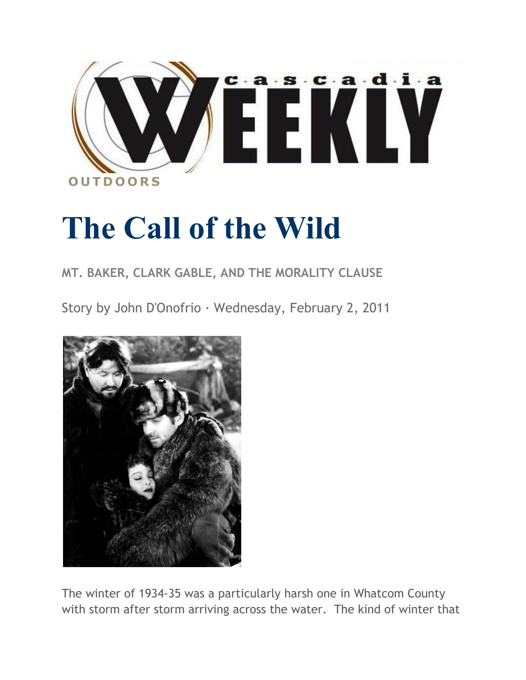

## **The Call of the Wild**

## **MT. BAKER, CLARK GABLE, AND THE MORALITY CLAUSE**

Story by John D'Onofrio · Wednesday, February 2, 2011



The winter of 1934-35 was a particularly harsh one in Whatcom County with storm after storm arriving across the water. The kind of winter that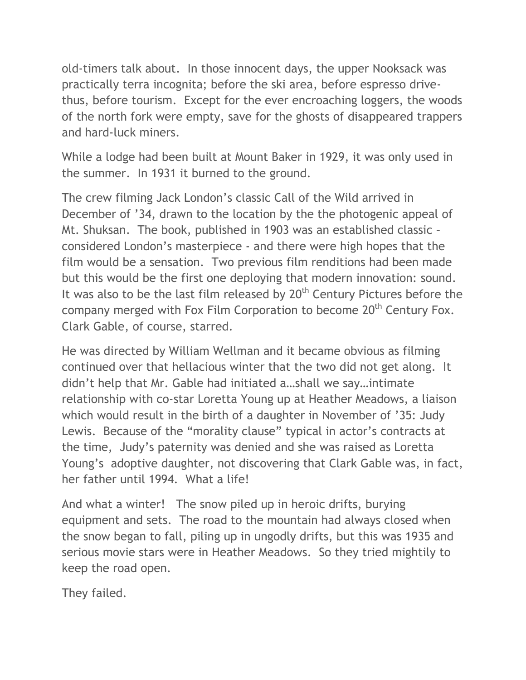old-timers talk about. In those innocent days, the upper Nooksack was practically terra incognita; before the ski area, before espresso drivethus, before tourism. Except for the ever encroaching loggers, the woods of the north fork were empty, save for the ghosts of disappeared trappers and hard-luck miners.

While a lodge had been built at Mount Baker in 1929, it was only used in the summer. In 1931 it burned to the ground.

The crew filming Jack London's classic Call of the Wild arrived in December of '34, drawn to the location by the the photogenic appeal of Mt. Shuksan. The book, published in 1903 was an established classic – considered London's masterpiece - and there were high hopes that the film would be a sensation. Two previous film renditions had been made but this would be the first one deploying that modern innovation: sound. It was also to be the last film released by  $20<sup>th</sup>$  Century Pictures before the company merged with Fox Film Corporation to become 20<sup>th</sup> Century Fox. Clark Gable, of course, starred.

He was directed by William Wellman and it became obvious as filming continued over that hellacious winter that the two did not get along. It didn't help that Mr. Gable had initiated a…shall we say…intimate relationship with co-star Loretta Young up at Heather Meadows, a liaison which would result in the birth of a daughter in November of '35: Judy Lewis. Because of the "morality clause" typical in actor's contracts at the time, Judy's paternity was denied and she was raised as Loretta Young's adoptive daughter, not discovering that Clark Gable was, in fact, her father until 1994. What a life!

And what a winter! The snow piled up in heroic drifts, burying equipment and sets. The road to the mountain had always closed when the snow began to fall, piling up in ungodly drifts, but this was 1935 and serious movie stars were in Heather Meadows. So they tried mightily to keep the road open.

They failed.